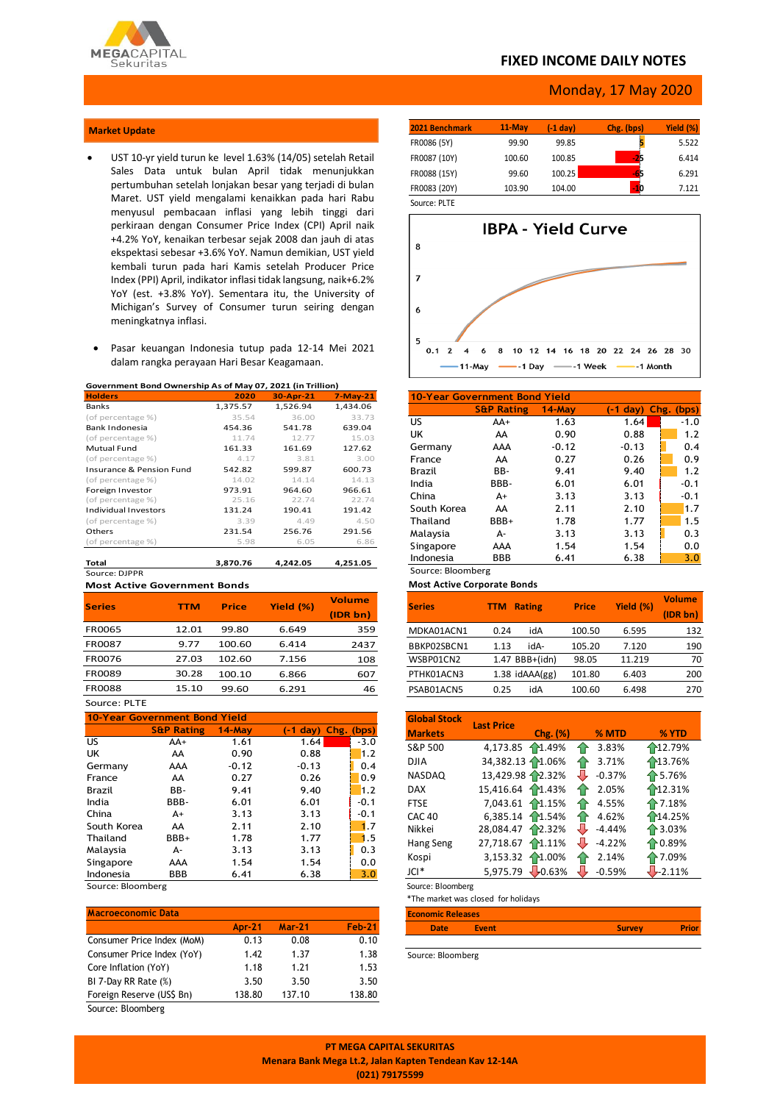

### **FIXED INCOME DAILY NOTES**

### Monday, 17 May 2020

#### **Market Update**

- UST 10-yr yield turun ke level 1.63% (14/05) setelah Retail Sales Data untuk bulan April tidak menunjukkan pertumbuhan setelah lonjakan besar yang terjadi di bulan Maret. UST yield mengalami kenaikkan pada hari Rabu menyusul pembacaan inflasi yang lebih tinggi dari perkiraan dengan Consumer Price Index (CPI) April naik +4.2% YoY, kenaikan terbesar sejak 2008 dan jauh di atas ekspektasi sebesar +3.6% YoY. Namun demikian, UST yield kembali turun pada hari Kamis setelah Producer Price Index (PPI) April, indikator inflasi tidak langsung, naik+6.2% YoY (est. +3.8% YoY). Sementara itu, the University of Michigan's Survey of Consumer turun seiring dengan meningkatnya inflasi.
- Pasar keuangan Indonesia tutup pada 12-14 Mei 2021 dalam rangka perayaan Hari Besar Keagamaan.

#### **Government Bond Ownership As of May 07, 2021 (in Trillion)**

| <b>Holders</b>                      | 2020     | 30-Apr-21 | $7-May-21$ |
|-------------------------------------|----------|-----------|------------|
| <b>Banks</b>                        | 1,375.57 | 1,526.94  | 1.434.06   |
| (of percentage %)                   | 35.54    | 36.00     | 33.73      |
| Bank Indonesia                      | 454.36   | 541.78    | 639.04     |
| (of percentage %)                   | 11.74    | 12.77     | 15.03      |
| <b>Mutual Fund</b>                  | 161.33   | 161.69    | 127.62     |
| (of percentage %)                   | 4.17     | 3.81      | 3.00       |
| <b>Insurance &amp; Pension Fund</b> | 542.82   | 599.87    | 600.73     |
| (of percentage %)                   | 14.02    | 14.14     | 14.13      |
| Foreign Investor                    | 973.91   | 964.60    | 966.61     |
| (of percentage %)                   | 25.16    | 22.74     | 22.74      |
| <b>Individual Investors</b>         | 131.24   | 190.41    | 191.42     |
| (of percentage %)                   | 3.39     | 4.49      | 4.50       |
| Others                              | 231.54   | 256.76    | 291.56     |
| (of percentage %)                   | 5.98     | 6.05      | 6.86       |
| Total                               | 3,870.76 | 4.242.05  | 4,251.05   |
| Source: DIPPR                       |          |           |            |

**Most Active Government Bonds**

| <b>Series</b> | <b>TTM</b> | <b>Price</b> | Yield (%) | <b>Volume</b> |
|---------------|------------|--------------|-----------|---------------|
|               |            |              |           | (IDR bn)      |
| <b>FR0065</b> | 12.01      | 99.80        | 6.649     | 359           |
| <b>FR0087</b> | 9.77       | 100.60       | 6.414     | 2437          |
| <b>FR0076</b> | 27.03      | 102.60       | 7.156     | 108           |
| <b>FR0089</b> | 30.28      | 100.10       | 6.866     | 607           |
| <b>FR0088</b> | 15.10      | 99.60        | 6.291     | 46            |
|               |            |              |           |               |

Source: PLTE

| <b>10-Year Government Bond Yield</b> |                       |           |                               |        |  |  |  |  |
|--------------------------------------|-----------------------|-----------|-------------------------------|--------|--|--|--|--|
|                                      | <b>S&amp;P Rating</b> | $14$ -May | $(-1 \text{ day})$ Chg. (bps) |        |  |  |  |  |
| US.                                  | $AA+$                 | 1.61      | 1.64                          | $-3.0$ |  |  |  |  |
| UK                                   | AA                    | 0.90      | 0.88                          | 1.2    |  |  |  |  |
| Germany                              | AAA                   | $-0.12$   | $-0.13$                       | 0.4    |  |  |  |  |
| France                               | AA                    | 0.27      | 0.26                          | 0.9    |  |  |  |  |
| <b>Brazil</b>                        | BB-                   | 9.41      | 9.40                          | 1.2    |  |  |  |  |
| India                                | BBB-                  | 6.01      | 6.01                          | $-0.1$ |  |  |  |  |
| China                                | A+                    | 3.13      | 3.13                          | $-0.1$ |  |  |  |  |
| South Korea                          | AA                    | 2.11      | 2.10                          | 1.7    |  |  |  |  |
| Thailand                             | BBB+                  | 1.78      | 1.77                          | 1.5    |  |  |  |  |
| Malaysia                             | А-                    | 3.13      | 3.13                          | 0.3    |  |  |  |  |
| Singapore                            | AAA                   | 1.54      | 1.54                          | 0.0    |  |  |  |  |
| Indonesia                            | <b>BBB</b>            | 6.41      | 6.38                          | 3.0    |  |  |  |  |
|                                      |                       |           |                               |        |  |  |  |  |

Source: Bloomberg

| <b>Macroeconomic Data</b>  |               |               |               |
|----------------------------|---------------|---------------|---------------|
|                            | <b>Apr-21</b> | <b>Mar-21</b> | <b>Feb-21</b> |
| Consumer Price Index (MoM) | 0.13          | 0.08          | 0.10          |
| Consumer Price Index (YoY) | 1.42          | 1.37          | 1.38          |
| Core Inflation (YoY)       | 1.18          | 1.21          | 1.53          |
| BI 7-Day RR Rate (%)       | 3.50          | 3.50          | 3.50          |
| Foreign Reserve (US\$ Bn)  | 138.80        | 137.10        | 138.80        |
| Source: Bloomberg          |               |               |               |

| 2021 Benchmark | $11-Mav$ | $(-1)$ day | Chg. (bps) | Yield (%) |
|----------------|----------|------------|------------|-----------|
| FR0086 (5Y)    | 99.90    | 99.85      |            | 5.522     |
| FR0087 (10Y)   | 100.60   | 100.85     | - 76       | 6.414     |
| FR0088 (15Y)   | 99.60    | 100.25     | -65        | 6.291     |
| FR0083 (20Y)   | 103.90   | 104.00     | - 10       | 7.121     |
| Source: PLTE   |          |            |            |           |



| 10-Year Government Bond Yield |                       |           |         |                               |  |  |  |
|-------------------------------|-----------------------|-----------|---------|-------------------------------|--|--|--|
|                               | <b>S&amp;P Rating</b> | $14$ -Mav |         | $(-1 \text{ day})$ Chg. (bps) |  |  |  |
| US.                           | $AA+$                 | 1.63      | 1.64    | $-1.0$                        |  |  |  |
| UK                            | AA                    | 0.90      | 0.88    | 1.2                           |  |  |  |
| Germany                       | AAA                   | $-0.12$   | $-0.13$ | 0.4                           |  |  |  |
| France                        | AA                    | 0.27      | 0.26    | 0.9                           |  |  |  |
| <b>Brazil</b>                 | BB-                   | 9.41      | 9.40    | 1.2                           |  |  |  |
| India                         | BBB-                  | 6.01      | 6.01    | $-0.1$                        |  |  |  |
| China                         | $A+$                  | 3.13      | 3.13    | $-0.1$                        |  |  |  |
| South Korea                   | AA                    | 2.11      | 2.10    | 1.7                           |  |  |  |
| Thailand                      | BBB+                  | 1.78      | 1.77    | 1.5                           |  |  |  |
| Malaysia                      | А-                    | 3.13      | 3.13    | 0.3                           |  |  |  |
| Singapore                     | AAA                   | 1.54      | 1.54    | 0.0                           |  |  |  |
| Indonesia                     | BBB                   | 6.41      | 6.38    | 3.0                           |  |  |  |
| Source: Bloomberg             |                       |           |         |                               |  |  |  |

### **Most Active Corporate Bonds**

| <b>Series</b> | <b>Rating</b><br>TTM | <b>Price</b> | Yield (%) | <b>Volume</b><br>(IDR bn) |
|---------------|----------------------|--------------|-----------|---------------------------|
| MDKA01ACN1    | idA<br>0.24          | 100.50       | 6.595     | 132                       |
| BBKP02SBCN1   | idA-<br>1.13         | 105.20       | 7.120     | 190                       |
| WSBP01CN2     | 1.47 BBB+(idn)       | 98.05        | 11.219    | 70                        |
| PTHK01ACN3    | $1.38$ idAAA $(gg)$  | 101.80       | 6.403     | 200                       |
| PSAB01ACN5    | idA<br>0.25          | 100.60       | 6.498     | 270                       |

| <b>Global Stock</b> | <b>Last Price</b> |                  |                         |                   |
|---------------------|-------------------|------------------|-------------------------|-------------------|
| <b>Markets</b>      |                   | Chg. (%)         | % MTD                   | % YTD             |
| S&P 500             | 4,173.85 1.49%    |                  | 3.83%<br>11             | 12.79%            |
| <b>DJIA</b>         | 34,382.13 1.06%   |                  | 3.71%<br>10             | 13.76%            |
| <b>NASDAQ</b>       | 13,429.98 2.32%   |                  | $\bigoplus$<br>$-0.37%$ | ↑5.76%            |
| <b>DAX</b>          | 15,416.64 1.43%   |                  | 2.05%                   | 12.31%            |
| <b>FTSE</b>         | 7,043.61 1.15%    |                  | 4.55%<br>10             | ↑7.18%            |
| CAC <sub>40</sub>   | 6,385.14 11.54%   |                  | 4.62%<br>11             | 114.25%           |
| Nikkei              | 28,084.47         | 12.32%           | ₩<br>$-4.44%$           | ↑ 3.03%           |
| Hang Seng           | 27,718.67         | 1.11%            | $-4.22%$<br>J           | $\bigoplus$ 0.89% |
| Kospi               | 3,153.32 1.00%    |                  | 2.14%                   | 17.09%            |
| JCI*                | 5,975.79          | $\bigcup 0.63\%$ | $-0.59%$                | $1 - 2.11%$       |

Source: Bloomberg

\*The market was closed for holidays

| <b>Economic Releases</b> |              |               |  |
|--------------------------|--------------|---------------|--|
| <b>Date</b>              | <b>Event</b> | <b>Survey</b> |  |

Source: Bloomberg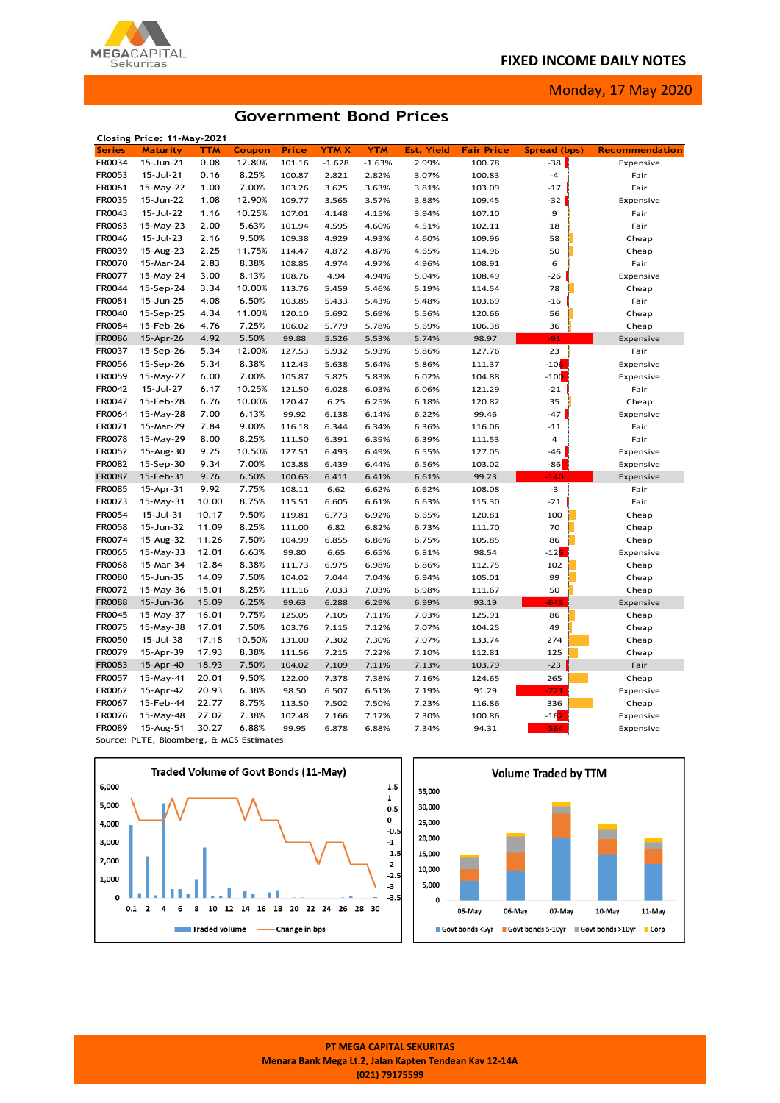## **FIXED INCOME DAILY NOTES**



Monday, 17 May 2020

# **Government Bond Prices**

|               | Closing Price: 11-May-2021 |                |                |                  |             |                |               |                   |              |                       |
|---------------|----------------------------|----------------|----------------|------------------|-------------|----------------|---------------|-------------------|--------------|-----------------------|
| <b>Series</b> | <b>Maturity</b>            | <b>TTM</b>     | Coupon         | Price            | <b>YTMX</b> | <b>YTM</b>     | Yield<br>Est. | <b>Fair Price</b> | Spread (bps) | <b>Recommendation</b> |
| FR0034        | 15-Jun-21                  | 0.08           | 12.80%         | 101.16           | $-1.628$    | $-1.63%$       | 2.99%         | 100.78            | $-38$        | Expensive             |
| FR0053        | 15-Jul-21                  | 0.16           | 8.25%          | 100.87           | 2.821       | 2.82%          | 3.07%         | 100.83            | $-4$         | Fair                  |
| FR0061        | 15-May-22                  | 1.00           | 7.00%          | 103.26           | 3.625       | 3.63%          | 3.81%         | 103.09            | $-17$        | Fair                  |
| FR0035        | 15-Jun-22                  | 1.08           | 12.90%         | 109.77           | 3.565       | 3.57%          | 3.88%         | 109.45            | $-32$        | Expensive             |
| FR0043        | 15-Jul-22                  | 1.16           | 10.25%         | 107.01           | 4.148       | 4.15%          | 3.94%         | 107.10            | 9            | Fair                  |
| FR0063        | 15-May-23                  | 2.00           | 5.63%          | 101.94           | 4.595       | 4.60%          | 4.51%         | 102.11            | 18           | Fair                  |
| FR0046        | 15-Jul-23                  | 2.16           | 9.50%          | 109.38           | 4.929       | 4.93%          | 4.60%         | 109.96            | 58           | Cheap                 |
| FR0039        | 15-Aug-23                  | 2.25           | 11.75%         | 114.47           | 4.872       | 4.87%          | 4.65%         | 114.96            | 50           | Cheap                 |
| FR0070        | 15-Mar-24                  | 2.83           | 8.38%          | 108.85           | 4.974       | 4.97%          | 4.96%         | 108.91            | 6            | Fair                  |
| FR0077        | 15-May-24                  | 3.00           | 8.13%          | 108.76           | 4.94        | 4.94%          | 5.04%         | 108.49            | $-26$        | Expensive             |
| FR0044        | 15-Sep-24                  | 3.34           | 10.00%         | 113.76           | 5.459       | 5.46%          | 5.19%         | 114.54            | 78           | Cheap                 |
| FR0081        | 15-Jun-25                  | 4.08           | 6.50%          | 103.85           | 5.433       | 5.43%          | 5.48%         | 103.69            | $-16$        | Fair                  |
| FR0040        | 15-Sep-25                  | 4.34           | 11.00%         | 120.10           | 5.692       | 5.69%          | 5.56%         | 120.66            | 56           | Cheap                 |
| FR0084        | 15-Feb-26                  | 4.76           | 7.25%          | 106.02           | 5.779       | 5.78%          | 5.69%         | 106.38            | 36           | Cheap                 |
| FR0086        | 15-Apr-26                  | 4.92           | 5.50%          | 99.88            | 5.526       | 5.53%          | 5.74%         | 98.97             | $-91$        | Expensive             |
| FR0037        | 15-Sep-26                  | 5.34           | 12.00%         | 127.53           | 5.932       | 5.93%          | 5.86%         | 127.76            | 23           | Fair                  |
| FR0056        | 15-Sep-26                  | 5.34           | 8.38%          | 112.43           | 5.638       | 5.64%          | 5.86%         | 111.37            | $-106$       | Expensive             |
| FR0059        | 15-May-27                  | 6.00           | 7.00%          | 105.87           | 5.825       | 5.83%          | 6.02%         | 104.88            | $-100$       | Expensive             |
| FR0042        | 15-Jul-27                  | 6.17           | 10.25%         | 121.50           | 6.028       | 6.03%          | 6.06%         | 121.29            | $-21$        | Fair                  |
| FR0047        | 15-Feb-28                  | 6.76           | 10.00%         | 120.47           | 6.25        | 6.25%          | 6.18%         | 120.82            | 35           | Cheap                 |
| FR0064        | 15-May-28                  | 7.00           | 6.13%          | 99.92            | 6.138       | 6.14%          | 6.22%         | 99.46             | $-47$        | Expensive             |
| FR0071        | 15-Mar-29                  | 7.84           | 9.00%          | 116.18           | 6.344       | 6.34%          | 6.36%         | 116.06            | $-11$        | Fair                  |
| FR0078        | 15-May-29                  | 8.00           | 8.25%          | 111.50           | 6.391       | 6.39%          | 6.39%         | 111.53            | 4            | Fair                  |
| FR0052        | 15-Aug-30                  | 9.25           | 10.50%         | 127.51           | 6.493       | 6.49%          | 6.55%         | 127.05            | -46          | Expensive             |
| FR0082        | 15-Sep-30                  | 9.34           | 7.00%          | 103.88           | 6.439       | 6.44%          | 6.56%         | 103.02            | $-86$        | Expensive             |
| FR0087        | 15-Feb-31                  | 9.76           | 6.50%          | 100.63           | 6.411       | 6.41%          | 6.61%         | 99.23             | $-140$       | Expensive             |
| <b>FR0085</b> | 15-Apr-31                  | 9.92           | 7.75%          | 108.11           | 6.62        | 6.62%          | 6.62%         | 108.08            | $-3$         | Fair                  |
| FR0073        | 15-May-31                  | 10.00          | 8.75%          | 115.51           | 6.605       | 6.61%          | 6.63%         | 115.30            | $-21$        |                       |
| FR0054        | 15-Jul-31                  | 10.17          | 9.50%          | 119.81           | 6.773       | 6.92%          | 6.65%         | 120.81            | 100          | Fair<br>Cheap         |
| FR0058        |                            |                |                |                  |             |                |               |                   | 70           |                       |
| FR0074        | 15-Jun-32<br>15-Aug-32     | 11.09<br>11.26 | 8.25%<br>7.50% | 111.00<br>104.99 | 6.82        | 6.82%<br>6.86% | 6.73%         | 111.70            | 86           | Cheap                 |
| FR0065        |                            |                |                |                  | 6.855       |                | 6.75%         | 105.85            |              | Cheap                 |
| FR0068        | 15-May-33                  | 12.01          | 6.63%          | 99.80            | 6.65        | 6.65%          | 6.81%         | 98.54             | $-126$       | Expensive             |
|               | 15-Mar-34                  | 12.84          | 8.38%          | 111.73           | 6.975       | 6.98%          | 6.86%         | 112.75            | 102          | Cheap                 |
| FR0080        | 15-Jun-35                  | 14.09          | 7.50%          | 104.02           | 7.044       | 7.04%          | 6.94%         | 105.01            | 99           | Cheap                 |
| FR0072        | 15-May-36                  | 15.01          | 8.25%          | 111.16           | 7.033       | 7.03%          | 6.98%         | 111.67            | 50           | Cheap                 |
| <b>FR0088</b> | 15-Jun-36                  | 15.09          | 6.25%          | 99.63            | 6.288       | 6.29%          | 6.99%         | 93.19             | $-643$       | Expensive             |
| FR0045        | 15-May-37                  | 16.01          | 9.75%          | 125.05           | 7.105       | 7.11%          | 7.03%         | 125.91            | 86           | Cheap                 |
| FR0075        | 15-May-38                  | 17.01          | 7.50%          | 103.76           | 7.115       | 7.12%          | 7.07%         | 104.25            | 49           | Cheap                 |
| FR0050        | 15-Jul-38                  | 17.18          | 10.50%         | 131.00           | 7.302       | 7.30%          | 7.07%         | 133.74            | 274          | Cheap                 |
| FR0079        | 15-Apr-39                  | 17.93          | 8.38%          | 111.56           | 7.215       | 7.22%          | 7.10%         | 112.81            | 125          | Cheap                 |
| FR0083        | 15-Apr-40                  | 18.93          | 7.50%          | 104.02           | 7.109       | 7.11%          | 7.13%         | 103.79            | $-23$        | Fair                  |
| FR0057        | 15-May-41                  | 20.01          | 9.50%          | 122.00           | 7.378       | 7.38%          | 7.16%         | 124.65            | 265          | Cheap                 |
| FR0062        | 15-Apr-42                  | 20.93          | 6.38%          | 98.50            | 6.507       | 6.51%          | 7.19%         | 91.29             | $-721$       | Expensive             |
| FR0067        | 15-Feb-44                  | 22.77          | 8.75%          | 113.50           | 7.502       | 7.50%          | 7.23%         | 116.86            | 336          | Cheap                 |
| FR0076        | 15-May-48                  | 27.02          | 7.38%          | 102.48           | 7.166       | 7.17%          | 7.30%         | 100.86            | $-162$       | Expensive             |
| FR0089        | 15-Aug-51                  | 30.27          | 6.88%          | 99.95            | 6.878       | 6.88%          | 7.34%         | 94.31             | $-564$       | Expensive             |

Source: PLTE, Bloomberg, & MCS Estimates